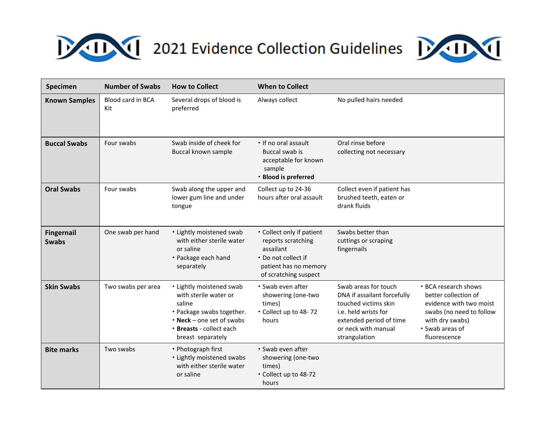



| Specimen                          | <b>Number of Swabs</b>   | <b>How to Collect</b>                                                                                                                                                        | <b>When to Collect</b>                                                                                                                |                                                                                                                                                                        |                                                                                                                                                           |
|-----------------------------------|--------------------------|------------------------------------------------------------------------------------------------------------------------------------------------------------------------------|---------------------------------------------------------------------------------------------------------------------------------------|------------------------------------------------------------------------------------------------------------------------------------------------------------------------|-----------------------------------------------------------------------------------------------------------------------------------------------------------|
| <b>Known Samples</b>              | Blood card in BCA<br>Kit | Several drops of blood is<br>preferred                                                                                                                                       | Always collect                                                                                                                        | No pulled hairs needed                                                                                                                                                 |                                                                                                                                                           |
| <b>Buccal Swabs</b>               | Four swabs               | Swab inside of cheek for<br>Buccal known sample                                                                                                                              | • If no oral assault<br>Buccal swab is<br>acceptable for known<br>sample<br>• Blood is preferred                                      | Oral rinse before<br>collecting not necessary                                                                                                                          |                                                                                                                                                           |
| <b>Oral Swabs</b>                 | Four swabs               | Swab along the upper and<br>lower gum line and under<br>tongue                                                                                                               | Collect up to 24-36<br>hours after oral assault                                                                                       | Collect even if patient has<br>brushed teeth, eaten or<br>drank fluids                                                                                                 |                                                                                                                                                           |
| <b>Fingernail</b><br><b>Swabs</b> | One swab per hand        | • Lightly moistened swab<br>with either sterile water<br>or saline<br>• Package each hand<br>separately                                                                      | • Collect only if patient<br>reports scratching<br>assailant<br>* Do not collect if<br>patient has no memory<br>of scratching suspect | Swabs better than<br>cuttings or scraping<br>fingernails                                                                                                               |                                                                                                                                                           |
| <b>Skin Swabs</b>                 | Two swabs per area       | • Lightly moistened swab<br>with sterile water or<br>saline<br>• Package swabs together.<br>$\cdot$ Neck – one set of swabs<br>* Breasts - collect each<br>breast separately | * Swab even after<br>showering (one-two<br>times)<br>* Collect up to 48-72<br>hours                                                   | Swab areas for touch<br>DNA if assailant forcefully<br>touched victims skin<br>i.e. held wrists for<br>extended period of time<br>or neck with manual<br>strangulation | • BCA research shows<br>better collection of<br>evidence with two moist<br>swabs (no need to follow<br>with dry swabs)<br>• Swab areas of<br>fluorescence |
| <b>Bite marks</b>                 | Two swabs                | • Photograph first<br>• Lightly moistened swabs<br>with either sterile water<br>or saline                                                                                    | * Swab even after<br>showering (one-two<br>times)<br>* Collect up to 48-72<br>hours                                                   |                                                                                                                                                                        |                                                                                                                                                           |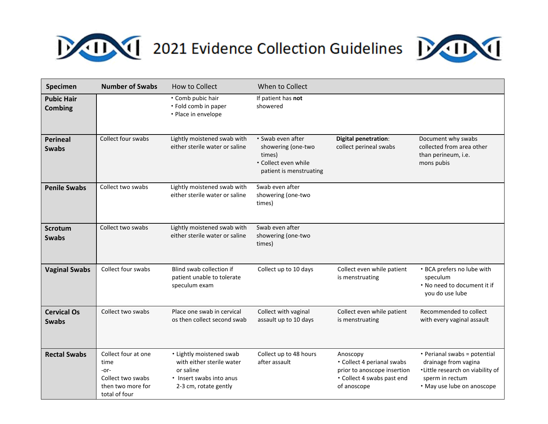## **EXAMPLE 2021 Evidence Collection Guidelines**



| Specimen                            | <b>Number of Swabs</b>                                                                           | How to Collect                                                                                                          | When to Collect                                                                                      |                                                                                                                    |                                                                                                                                           |
|-------------------------------------|--------------------------------------------------------------------------------------------------|-------------------------------------------------------------------------------------------------------------------------|------------------------------------------------------------------------------------------------------|--------------------------------------------------------------------------------------------------------------------|-------------------------------------------------------------------------------------------------------------------------------------------|
| <b>Pubic Hair</b><br><b>Combing</b> |                                                                                                  | • Comb pubic hair<br>• Fold comb in paper<br>• Place in envelope                                                        | If patient has not<br>showered                                                                       |                                                                                                                    |                                                                                                                                           |
| <b>Perineal</b><br><b>Swabs</b>     | Collect four swabs                                                                               | Lightly moistened swab with<br>either sterile water or saline                                                           | * Swab even after<br>showering (one-two<br>times)<br>• Collect even while<br>patient is menstruating | <b>Digital penetration:</b><br>collect perineal swabs                                                              | Document why swabs<br>collected from area other<br>than perineum, i.e.<br>mons pubis                                                      |
| <b>Penile Swabs</b>                 | Collect two swabs                                                                                | Lightly moistened swab with<br>either sterile water or saline                                                           | Swab even after<br>showering (one-two<br>times)                                                      |                                                                                                                    |                                                                                                                                           |
| <b>Scrotum</b><br><b>Swabs</b>      | Collect two swabs                                                                                | Lightly moistened swab with<br>either sterile water or saline                                                           | Swab even after<br>showering (one-two<br>times)                                                      |                                                                                                                    |                                                                                                                                           |
| <b>Vaginal Swabs</b>                | Collect four swabs                                                                               | Blind swab collection if<br>patient unable to tolerate<br>speculum exam                                                 | Collect up to 10 days                                                                                | Collect even while patient<br>is menstruating                                                                      | • BCA prefers no lube with<br>speculum<br>• No need to document it if<br>you do use lube                                                  |
| <b>Cervical Os</b><br><b>Swabs</b>  | Collect two swabs                                                                                | Place one swab in cervical<br>os then collect second swab                                                               | Collect with vaginal<br>assault up to 10 days                                                        | Collect even while patient<br>is menstruating                                                                      | Recommended to collect<br>with every vaginal assault                                                                                      |
| <b>Rectal Swabs</b>                 | Collect four at one<br>time<br>$-0r-$<br>Collect two swabs<br>then two more for<br>total of four | • Lightly moistened swab<br>with either sterile water<br>or saline<br>• Insert swabs into anus<br>2-3 cm, rotate gently | Collect up to 48 hours<br>after assault                                                              | Anoscopy<br>• Collect 4 perianal swabs<br>prior to anoscope insertion<br>• Collect 4 swabs past end<br>of anoscope | • Perianal swabs = potential<br>drainage from vagina<br>*Little research on viability of<br>sperm in rectum<br>• May use lube on anoscope |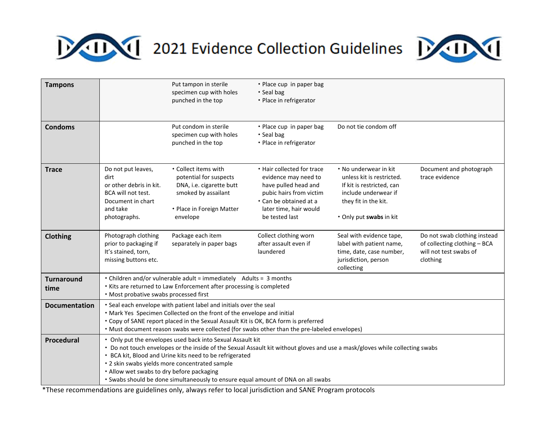



| <b>Tampons</b>            |                                                                                                                                                                                                                                                                                                                                                                                                                                          | Put tampon in sterile<br>specimen cup with holes<br>punched in the top                                                                     | • Place cup in paper bag<br>• Seal bag<br>• Place in refrigerator                                                                                                           |                                                                                                                                                            |                                                                                                    |
|---------------------------|------------------------------------------------------------------------------------------------------------------------------------------------------------------------------------------------------------------------------------------------------------------------------------------------------------------------------------------------------------------------------------------------------------------------------------------|--------------------------------------------------------------------------------------------------------------------------------------------|-----------------------------------------------------------------------------------------------------------------------------------------------------------------------------|------------------------------------------------------------------------------------------------------------------------------------------------------------|----------------------------------------------------------------------------------------------------|
| <b>Condoms</b>            |                                                                                                                                                                                                                                                                                                                                                                                                                                          | Put condom in sterile<br>specimen cup with holes<br>punched in the top                                                                     | • Place cup in paper bag<br>$\cdot$ Seal bag<br>• Place in refrigerator                                                                                                     | Do not tie condom off                                                                                                                                      |                                                                                                    |
| <b>Trace</b>              | Do not put leaves,<br>dirt<br>or other debris in kit.<br>BCA will not test.<br>Document in chart<br>and take<br>photographs.                                                                                                                                                                                                                                                                                                             | • Collect items with<br>potential for suspects<br>DNA, i.e. cigarette butt<br>smoked by assailant<br>• Place in Foreign Matter<br>envelope | • Hair collected for trace<br>evidence may need to<br>have pulled head and<br>pubic hairs from victim<br>• Can be obtained at a<br>later time, hair would<br>be tested last | • No underwear in kit<br>unless kit is restricted.<br>If kit is restricted, can<br>include underwear if<br>they fit in the kit.<br>• Only put swabs in kit | Document and photograph<br>trace evidence                                                          |
| Clothing                  | Photograph clothing<br>prior to packaging if<br>It's stained, torn,<br>missing buttons etc.                                                                                                                                                                                                                                                                                                                                              | Package each item<br>separately in paper bags                                                                                              | Collect clothing worn<br>after assault even if<br>laundered                                                                                                                 | Seal with evidence tape,<br>label with patient name,<br>time, date, case number,<br>jurisdiction, person<br>collecting                                     | Do not swab clothing instead<br>of collecting clothing - BCA<br>will not test swabs of<br>clothing |
| <b>Turnaround</b><br>time | • Children and/or vulnerable adult = immediately Adults = 3 months<br>* Kits are returned to Law Enforcement after processing is completed<br>• Most probative swabs processed first                                                                                                                                                                                                                                                     |                                                                                                                                            |                                                                                                                                                                             |                                                                                                                                                            |                                                                                                    |
| <b>Documentation</b>      | * Seal each envelope with patient label and initials over the seal<br>• Mark Yes Specimen Collected on the front of the envelope and initial<br>• Copy of SANE report placed in the Sexual Assault Kit is OK, BCA form is preferred<br>• Must document reason swabs were collected (for swabs other than the pre-labeled envelopes)                                                                                                      |                                                                                                                                            |                                                                                                                                                                             |                                                                                                                                                            |                                                                                                    |
| Procedural                | • Only put the envelopes used back into Sexual Assault kit<br>• Do not touch envelopes or the inside of the Sexual Assault kit without gloves and use a mask/gloves while collecting swabs<br>• BCA kit, Blood and Urine kits need to be refrigerated<br>* 2 skin swabs yields more concentrated sample<br>• Allow wet swabs to dry before packaging<br>• Swabs should be done simultaneously to ensure equal amount of DNA on all swabs |                                                                                                                                            |                                                                                                                                                                             |                                                                                                                                                            |                                                                                                    |

\*These recommendations are guidelines only, always refer to local jurisdiction and SANE Program protocols